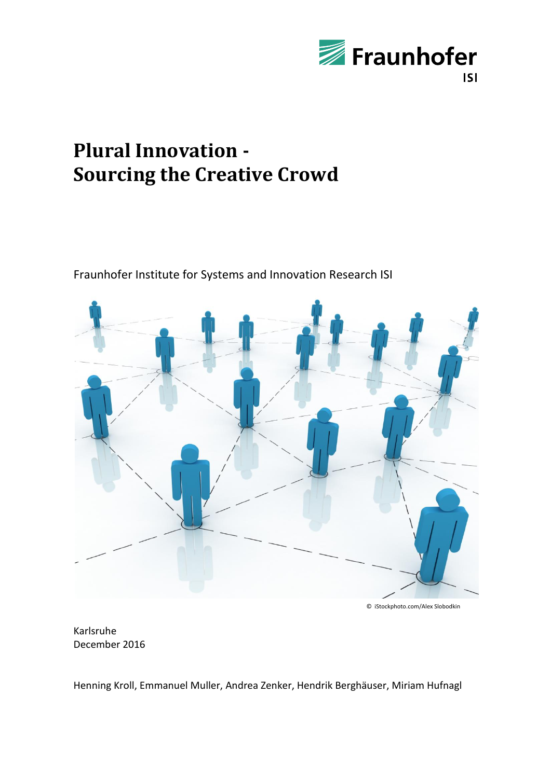

# **Plural Innovation - Sourcing the Creative Crowd**

Fraunhofer Institute for Systems and Innovation Research ISI



© iStockphoto.com/Alex Slobodkin

Karlsruhe December 2016

Henning Kroll, Emmanuel Muller, Andrea Zenker, Hendrik Berghäuser, Miriam Hufnagl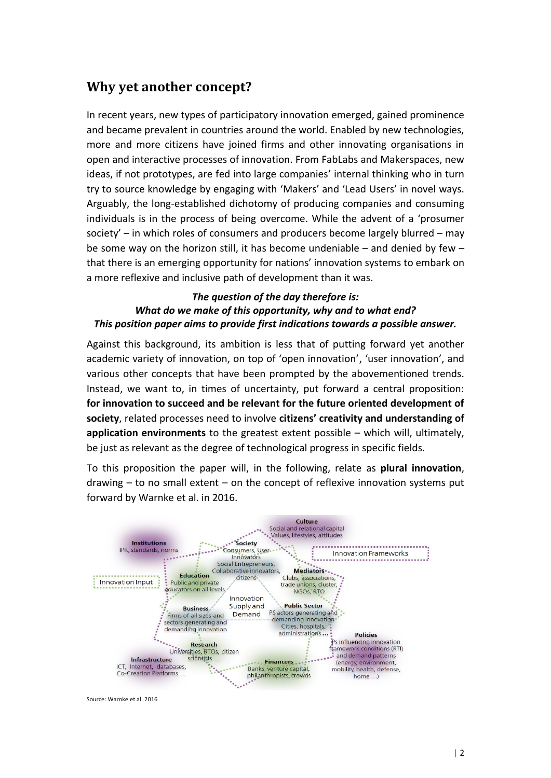### **Why yet another concept?**

In recent years, new types of participatory innovation emerged, gained prominence and became prevalent in countries around the world. Enabled by new technologies, more and more citizens have joined firms and other innovating organisations in open and interactive processes of innovation. From FabLabs and Makerspaces, new ideas, if not prototypes, are fed into large companies' internal thinking who in turn try to source knowledge by engaging with 'Makers' and 'Lead Users' in novel ways. Arguably, the long-established dichotomy of producing companies and consuming individuals is in the process of being overcome. While the advent of a 'prosumer society' – in which roles of consumers and producers become largely blurred – may be some way on the horizon still, it has become undeniable – and denied by few – that there is an emerging opportunity for nations' innovation systems to embark on a more reflexive and inclusive path of development than it was.

#### *The question of the day therefore is: What do we make of this opportunity, why and to what end? This position paper aims to provide first indications towards a possible answer.*

Against this background, its ambition is less that of putting forward yet another academic variety of innovation, on top of 'open innovation', 'user innovation', and various other concepts that have been prompted by the abovementioned trends. Instead, we want to, in times of uncertainty, put forward a central proposition: **for innovation to succeed and be relevant for the future oriented development of society**, related processes need to involve **citizens' creativity and understanding of application environments** to the greatest extent possible – which will, ultimately, be just as relevant as the degree of technological progress in specific fields.

To this proposition the paper will, in the following, relate as **plural innovation**, drawing – to no small extent – on the concept of reflexive innovation systems put forward by Warnke et al. in 2016.



Source: Warnke et al. 2016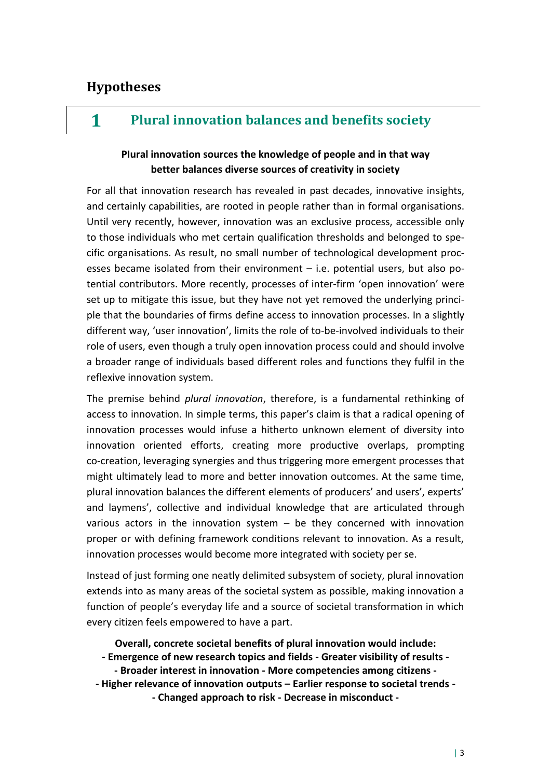### **Hypotheses**

## **1 Plural innovation balances and benefits society**

#### **PIural innovation sources the knowledge of people and in that way better balances diverse sources of creativity in society**

For all that innovation research has revealed in past decades, innovative insights, and certainly capabilities, are rooted in people rather than in formal organisations. Until very recently, however, innovation was an exclusive process, accessible only to those individuals who met certain qualification thresholds and belonged to specific organisations. As result, no small number of technological development processes became isolated from their environment – i.e. potential users, but also potential contributors. More recently, processes of inter-firm 'open innovation' were set up to mitigate this issue, but they have not yet removed the underlying principle that the boundaries of firms define access to innovation processes. In a slightly different way, 'user innovation', limits the role of to-be-involved individuals to their role of users, even though a truly open innovation process could and should involve a broader range of individuals based different roles and functions they fulfil in the reflexive innovation system.

The premise behind *plural innovation*, therefore, is a fundamental rethinking of access to innovation. In simple terms, this paper's claim is that a radical opening of innovation processes would infuse a hitherto unknown element of diversity into innovation oriented efforts, creating more productive overlaps, prompting co-creation, leveraging synergies and thus triggering more emergent processes that might ultimately lead to more and better innovation outcomes. At the same time, plural innovation balances the different elements of producers' and users', experts' and laymens', collective and individual knowledge that are articulated through various actors in the innovation system  $-$  be they concerned with innovation proper or with defining framework conditions relevant to innovation. As a result, innovation processes would become more integrated with society per se.

Instead of just forming one neatly delimited subsystem of society, plural innovation extends into as many areas of the societal system as possible, making innovation a function of people's everyday life and a source of societal transformation in which every citizen feels empowered to have a part.

**Overall, concrete societal benefits of plural innovation would include: - Emergence of new research topics and fields - Greater visibility of results - - Broader interest in innovation - More competencies among citizens - - Higher relevance of innovation outputs – Earlier response to societal trends - - Changed approach to risk - Decrease in misconduct -**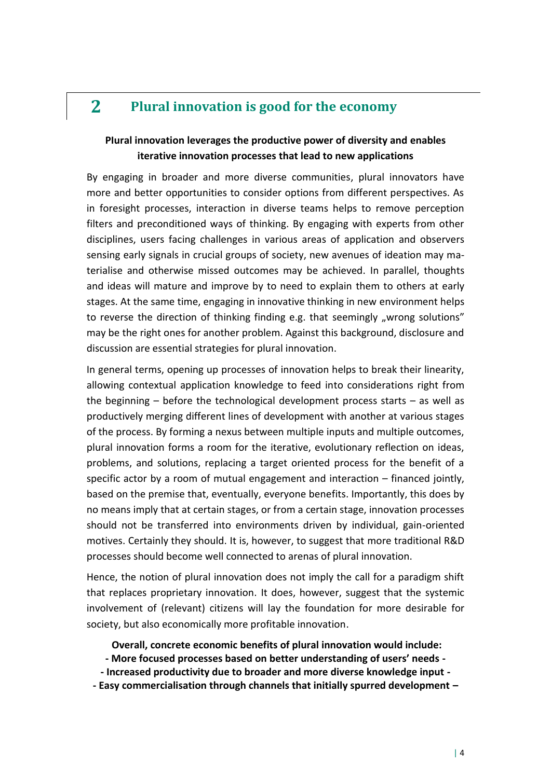### **2 Plural innovation is good for the economy**

#### **PIural innovation leverages the productive power of diversity and enables iterative innovation processes that lead to new applications**

By engaging in broader and more diverse communities, plural innovators have more and better opportunities to consider options from different perspectives. As in foresight processes, interaction in diverse teams helps to remove perception filters and preconditioned ways of thinking. By engaging with experts from other disciplines, users facing challenges in various areas of application and observers sensing early signals in crucial groups of society, new avenues of ideation may materialise and otherwise missed outcomes may be achieved. In parallel, thoughts and ideas will mature and improve by to need to explain them to others at early stages. At the same time, engaging in innovative thinking in new environment helps to reverse the direction of thinking finding e.g. that seemingly "wrong solutions" may be the right ones for another problem. Against this background, disclosure and discussion are essential strategies for plural innovation.

In general terms, opening up processes of innovation helps to break their linearity, allowing contextual application knowledge to feed into considerations right from the beginning – before the technological development process starts – as well as productively merging different lines of development with another at various stages of the process. By forming a nexus between multiple inputs and multiple outcomes, plural innovation forms a room for the iterative, evolutionary reflection on ideas, problems, and solutions, replacing a target oriented process for the benefit of a specific actor by a room of mutual engagement and interaction – financed jointly, based on the premise that, eventually, everyone benefits. Importantly, this does by no means imply that at certain stages, or from a certain stage, innovation processes should not be transferred into environments driven by individual, gain-oriented motives. Certainly they should. It is, however, to suggest that more traditional R&D processes should become well connected to arenas of plural innovation.

Hence, the notion of plural innovation does not imply the call for a paradigm shift that replaces proprietary innovation. It does, however, suggest that the systemic involvement of (relevant) citizens will lay the foundation for more desirable for society, but also economically more profitable innovation.

**Overall, concrete economic benefits of plural innovation would include:**

- **- More focused processes based on better understanding of users' needs -**
- **- Increased productivity due to broader and more diverse knowledge input -**
- **- Easy commercialisation through channels that initially spurred development –**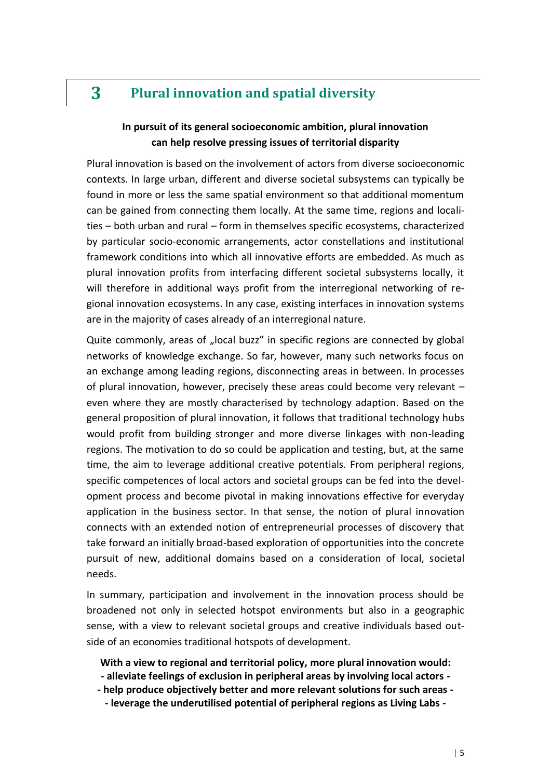# **3 Plural innovation and spatial diversity**

#### **In pursuit of its general socioeconomic ambition, plural innovation can help resolve pressing issues of territorial disparity**

Plural innovation is based on the involvement of actors from diverse socioeconomic contexts. In large urban, different and diverse societal subsystems can typically be found in more or less the same spatial environment so that additional momentum can be gained from connecting them locally. At the same time, regions and localities – both urban and rural – form in themselves specific ecosystems, characterized by particular socio-economic arrangements, actor constellations and institutional framework conditions into which all innovative efforts are embedded. As much as plural innovation profits from interfacing different societal subsystems locally, it will therefore in additional ways profit from the interregional networking of regional innovation ecosystems. In any case, existing interfaces in innovation systems are in the majority of cases already of an interregional nature.

Quite commonly, areas of "local buzz" in specific regions are connected by global networks of knowledge exchange. So far, however, many such networks focus on an exchange among leading regions, disconnecting areas in between. In processes of plural innovation, however, precisely these areas could become very relevant – even where they are mostly characterised by technology adaption. Based on the general proposition of plural innovation, it follows that traditional technology hubs would profit from building stronger and more diverse linkages with non-leading regions. The motivation to do so could be application and testing, but, at the same time, the aim to leverage additional creative potentials. From peripheral regions, specific competences of local actors and societal groups can be fed into the development process and become pivotal in making innovations effective for everyday application in the business sector. In that sense, the notion of plural innovation connects with an extended notion of entrepreneurial processes of discovery that take forward an initially broad-based exploration of opportunities into the concrete pursuit of new, additional domains based on a consideration of local, societal needs.

In summary, participation and involvement in the innovation process should be broadened not only in selected hotspot environments but also in a geographic sense, with a view to relevant societal groups and creative individuals based outside of an economies traditional hotspots of development.

**With a view to regional and territorial policy, more plural innovation would: - alleviate feelings of exclusion in peripheral areas by involving local actors -**

- **- help produce objectively better and more relevant solutions for such areas -**
	- **- leverage the underutilised potential of peripheral regions as Living Labs -**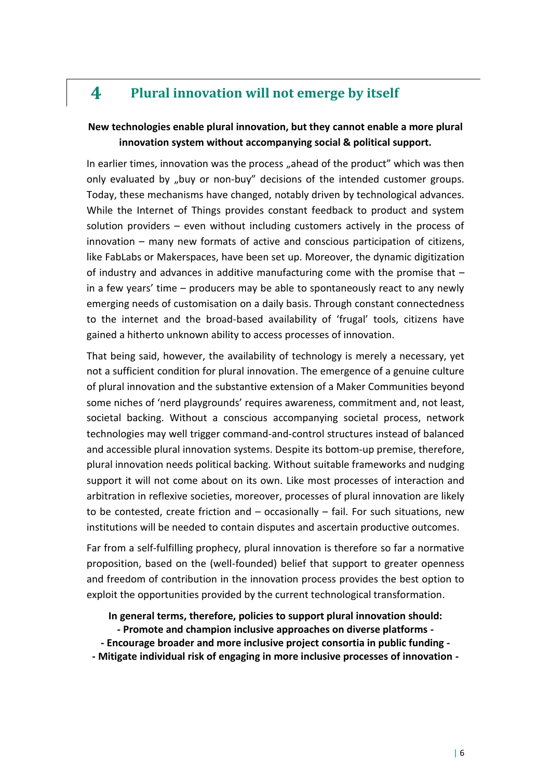### **4 Plural innovation will not emerge by itself**

#### **New technologies enable plural innovation, but they cannot enable a more plural innovation system without accompanying social & political support.**

In earlier times, innovation was the process "ahead of the product" which was then only evaluated by "buy or non-buy" decisions of the intended customer groups. Today, these mechanisms have changed, notably driven by technological advances. While the Internet of Things provides constant feedback to product and system solution providers – even without including customers actively in the process of innovation – many new formats of active and conscious participation of citizens, like FabLabs or Makerspaces, have been set up. Moreover, the dynamic digitization of industry and advances in additive manufacturing come with the promise that – in a few years' time – producers may be able to spontaneously react to any newly emerging needs of customisation on a daily basis. Through constant connectedness to the internet and the broad-based availability of 'frugal' tools, citizens have gained a hitherto unknown ability to access processes of innovation.

That being said, however, the availability of technology is merely a necessary, yet not a sufficient condition for plural innovation. The emergence of a genuine culture of plural innovation and the substantive extension of a Maker Communities beyond some niches of 'nerd playgrounds' requires awareness, commitment and, not least, societal backing. Without a conscious accompanying societal process, network technologies may well trigger command-and-control structures instead of balanced and accessible plural innovation systems. Despite its bottom-up premise, therefore, plural innovation needs political backing. Without suitable frameworks and nudging support it will not come about on its own. Like most processes of interaction and arbitration in reflexive societies, moreover, processes of plural innovation are likely to be contested, create friction and – occasionally – fail. For such situations, new institutions will be needed to contain disputes and ascertain productive outcomes.

Far from a self-fulfilling prophecy, plural innovation is therefore so far a normative proposition, based on the (well-founded) belief that support to greater openness and freedom of contribution in the innovation process provides the best option to exploit the opportunities provided by the current technological transformation.

**In general terms, therefore, policies to support plural innovation should:**

- **- Promote and champion inclusive approaches on diverse platforms -**
- **- Encourage broader and more inclusive project consortia in public funding -**
- **- Mitigate individual risk of engaging in more inclusive processes of innovation -**